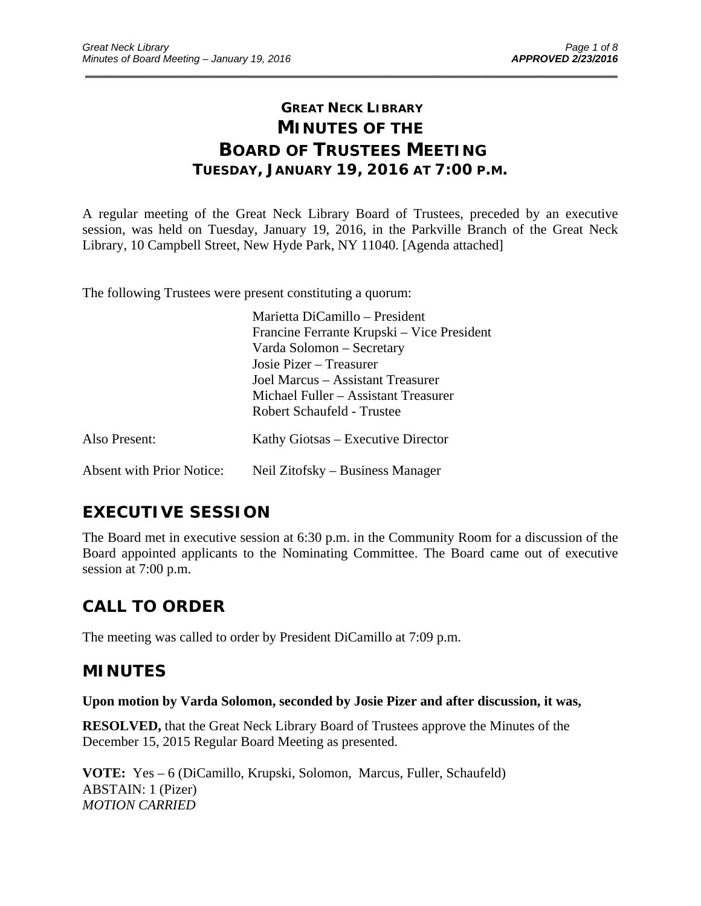# **GREAT NECK LIBRARY MINUTES OF THE BOARD OF TRUSTEES MEETING TUESDAY, JANUARY 19, 2016 AT 7:00 P.M.**

\_\_\_\_\_\_\_\_\_\_\_\_\_\_\_\_\_\_\_\_\_\_\_\_\_\_\_\_\_\_\_\_\_\_\_\_\_\_\_\_\_\_\_\_\_\_\_\_\_\_\_\_\_\_\_\_\_\_\_\_\_\_\_\_\_\_\_\_\_\_\_\_\_\_\_\_\_\_\_\_\_\_\_\_\_\_\_\_\_\_\_\_\_

A regular meeting of the Great Neck Library Board of Trustees, preceded by an executive session, was held on Tuesday, January 19, 2016, in the Parkville Branch of the Great Neck Library, 10 Campbell Street, New Hyde Park, NY 11040. [Agenda attached]

The following Trustees were present constituting a quorum:

|                                  | Marietta DiCamillo – President             |
|----------------------------------|--------------------------------------------|
|                                  | Francine Ferrante Krupski – Vice President |
|                                  | Varda Solomon - Secretary                  |
|                                  | Josie Pizer – Treasurer                    |
|                                  | Joel Marcus – Assistant Treasurer          |
|                                  | Michael Fuller – Assistant Treasurer       |
|                                  | Robert Schaufeld - Trustee                 |
| Also Present:                    | Kathy Giotsas – Executive Director         |
| <b>Absent with Prior Notice:</b> | Neil Zitofsky – Business Manager           |

# **EXECUTIVE SESSION**

The Board met in executive session at 6:30 p.m. in the Community Room for a discussion of the Board appointed applicants to the Nominating Committee. The Board came out of executive session at 7:00 p.m.

# **CALL TO ORDER**

The meeting was called to order by President DiCamillo at 7:09 p.m.

## **MINUTES**

**Upon motion by Varda Solomon, seconded by Josie Pizer and after discussion, it was,** 

**RESOLVED,** that the Great Neck Library Board of Trustees approve the Minutes of the December 15, 2015 Regular Board Meeting as presented.

**VOTE:** Yes – 6 (DiCamillo, Krupski, Solomon, Marcus, Fuller, Schaufeld) ABSTAIN: 1 (Pizer) *MOTION CARRIED*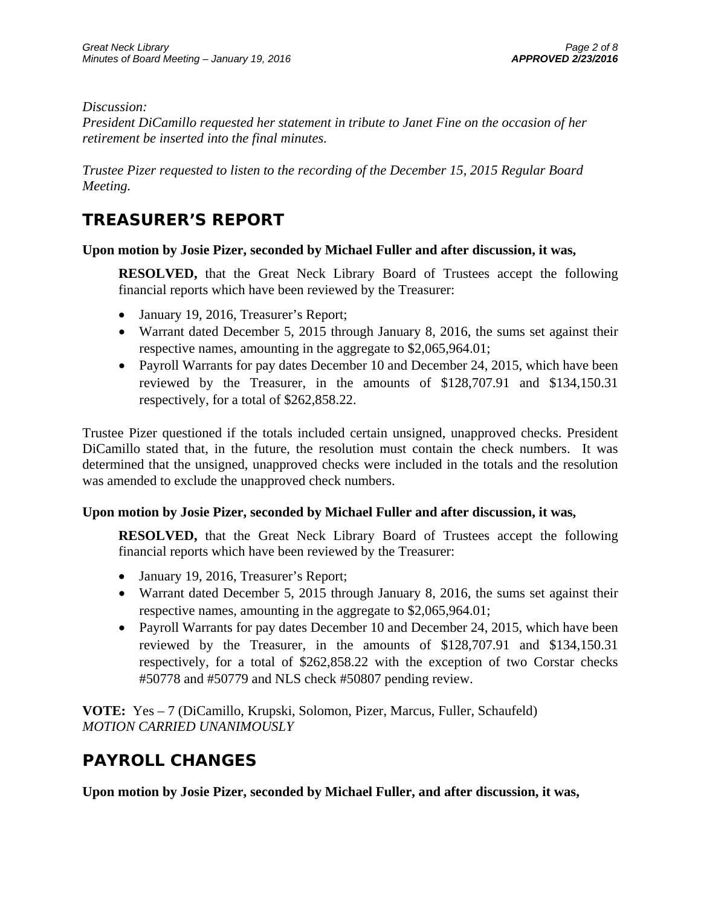## *Discussion:*

*President DiCamillo requested her statement in tribute to Janet Fine on the occasion of her retirement be inserted into the final minutes.* 

*Trustee Pizer requested to listen to the recording of the December 15, 2015 Regular Board Meeting.* 

# **TREASURER'S REPORT**

## **Upon motion by Josie Pizer, seconded by Michael Fuller and after discussion, it was,**

**RESOLVED,** that the Great Neck Library Board of Trustees accept the following financial reports which have been reviewed by the Treasurer:

- January 19, 2016, Treasurer's Report;
- Warrant dated December 5, 2015 through January 8, 2016, the sums set against their respective names, amounting in the aggregate to \$2,065,964.01;
- Payroll Warrants for pay dates December 10 and December 24, 2015, which have been reviewed by the Treasurer, in the amounts of \$128,707.91 and \$134,150.31 respectively, for a total of \$262,858.22.

Trustee Pizer questioned if the totals included certain unsigned, unapproved checks. President DiCamillo stated that, in the future, the resolution must contain the check numbers. It was determined that the unsigned, unapproved checks were included in the totals and the resolution was amended to exclude the unapproved check numbers.

## **Upon motion by Josie Pizer, seconded by Michael Fuller and after discussion, it was,**

**RESOLVED,** that the Great Neck Library Board of Trustees accept the following financial reports which have been reviewed by the Treasurer:

- January 19, 2016, Treasurer's Report;
- Warrant dated December 5, 2015 through January 8, 2016, the sums set against their respective names, amounting in the aggregate to \$2,065,964.01;
- Payroll Warrants for pay dates December 10 and December 24, 2015, which have been reviewed by the Treasurer, in the amounts of \$128,707.91 and \$134,150.31 respectively, for a total of \$262,858.22 with the exception of two Corstar checks #50778 and #50779 and NLS check #50807 pending review.

**VOTE:** Yes – 7 (DiCamillo, Krupski, Solomon, Pizer, Marcus, Fuller, Schaufeld) *MOTION CARRIED UNANIMOUSLY* 

# **PAYROLL CHANGES**

**Upon motion by Josie Pizer, seconded by Michael Fuller, and after discussion, it was,**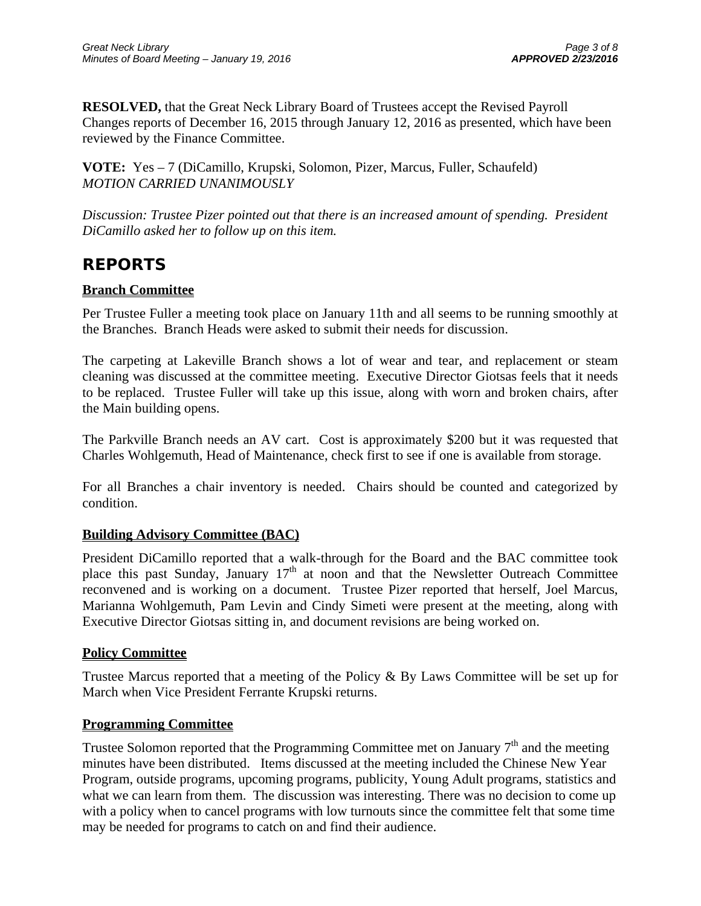**RESOLVED,** that the Great Neck Library Board of Trustees accept the Revised Payroll Changes reports of December 16, 2015 through January 12, 2016 as presented, which have been reviewed by the Finance Committee.

**VOTE:** Yes – 7 (DiCamillo, Krupski, Solomon, Pizer, Marcus, Fuller, Schaufeld) *MOTION CARRIED UNANIMOUSLY* 

*Discussion: Trustee Pizer pointed out that there is an increased amount of spending. President DiCamillo asked her to follow up on this item.* 

# **REPORTS**

## **Branch Committee**

Per Trustee Fuller a meeting took place on January 11th and all seems to be running smoothly at the Branches. Branch Heads were asked to submit their needs for discussion.

The carpeting at Lakeville Branch shows a lot of wear and tear, and replacement or steam cleaning was discussed at the committee meeting. Executive Director Giotsas feels that it needs to be replaced. Trustee Fuller will take up this issue, along with worn and broken chairs, after the Main building opens.

The Parkville Branch needs an AV cart. Cost is approximately \$200 but it was requested that Charles Wohlgemuth, Head of Maintenance, check first to see if one is available from storage.

For all Branches a chair inventory is needed. Chairs should be counted and categorized by condition.

## **Building Advisory Committee (BAC)**

President DiCamillo reported that a walk-through for the Board and the BAC committee took place this past Sunday, January  $17<sup>th</sup>$  at noon and that the Newsletter Outreach Committee reconvened and is working on a document. Trustee Pizer reported that herself, Joel Marcus, Marianna Wohlgemuth, Pam Levin and Cindy Simeti were present at the meeting, along with Executive Director Giotsas sitting in, and document revisions are being worked on.

## **Policy Committee**

Trustee Marcus reported that a meeting of the Policy & By Laws Committee will be set up for March when Vice President Ferrante Krupski returns.

## **Programming Committee**

Trustee Solomon reported that the Programming Committee met on January  $7<sup>th</sup>$  and the meeting minutes have been distributed. Items discussed at the meeting included the Chinese New Year Program, outside programs, upcoming programs, publicity, Young Adult programs, statistics and what we can learn from them. The discussion was interesting. There was no decision to come up with a policy when to cancel programs with low turnouts since the committee felt that some time may be needed for programs to catch on and find their audience.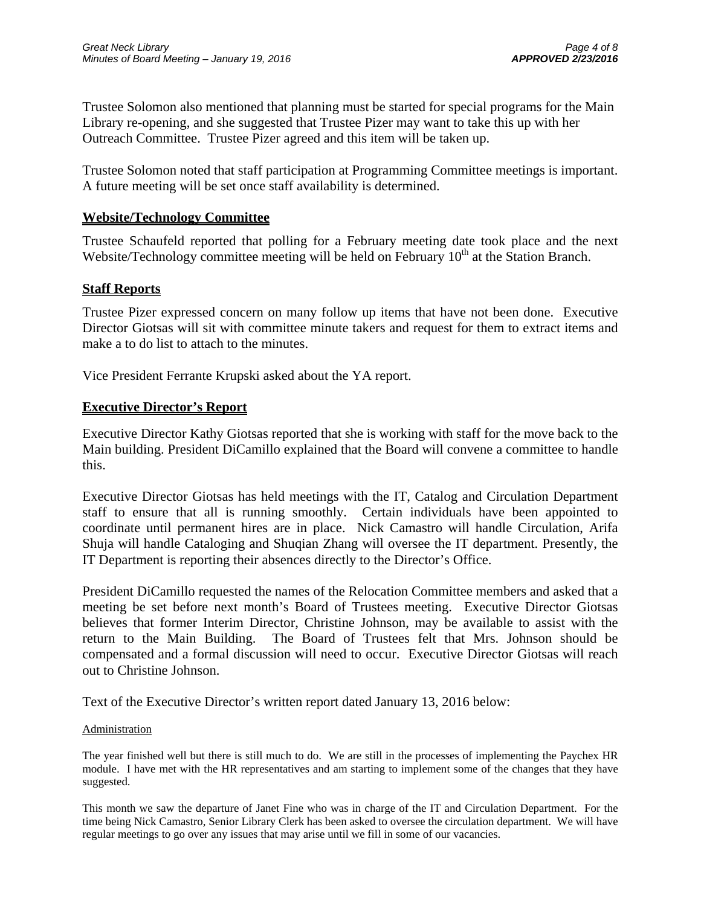Trustee Solomon also mentioned that planning must be started for special programs for the Main Library re-opening, and she suggested that Trustee Pizer may want to take this up with her Outreach Committee. Trustee Pizer agreed and this item will be taken up.

Trustee Solomon noted that staff participation at Programming Committee meetings is important. A future meeting will be set once staff availability is determined.

## **Website/Technology Committee**

Trustee Schaufeld reported that polling for a February meeting date took place and the next Website/Technology committee meeting will be held on February  $10<sup>th</sup>$  at the Station Branch.

## **Staff Reports**

Trustee Pizer expressed concern on many follow up items that have not been done. Executive Director Giotsas will sit with committee minute takers and request for them to extract items and make a to do list to attach to the minutes.

Vice President Ferrante Krupski asked about the YA report.

## **Executive Director's Report**

Executive Director Kathy Giotsas reported that she is working with staff for the move back to the Main building. President DiCamillo explained that the Board will convene a committee to handle this.

Executive Director Giotsas has held meetings with the IT, Catalog and Circulation Department staff to ensure that all is running smoothly. Certain individuals have been appointed to coordinate until permanent hires are in place. Nick Camastro will handle Circulation, Arifa Shuja will handle Cataloging and Shuqian Zhang will oversee the IT department. Presently, the IT Department is reporting their absences directly to the Director's Office.

President DiCamillo requested the names of the Relocation Committee members and asked that a meeting be set before next month's Board of Trustees meeting. Executive Director Giotsas believes that former Interim Director, Christine Johnson, may be available to assist with the return to the Main Building. The Board of Trustees felt that Mrs. Johnson should be compensated and a formal discussion will need to occur. Executive Director Giotsas will reach out to Christine Johnson.

Text of the Executive Director's written report dated January 13, 2016 below:

### **Administration**

The year finished well but there is still much to do. We are still in the processes of implementing the Paychex HR module. I have met with the HR representatives and am starting to implement some of the changes that they have suggested.

This month we saw the departure of Janet Fine who was in charge of the IT and Circulation Department. For the time being Nick Camastro, Senior Library Clerk has been asked to oversee the circulation department. We will have regular meetings to go over any issues that may arise until we fill in some of our vacancies.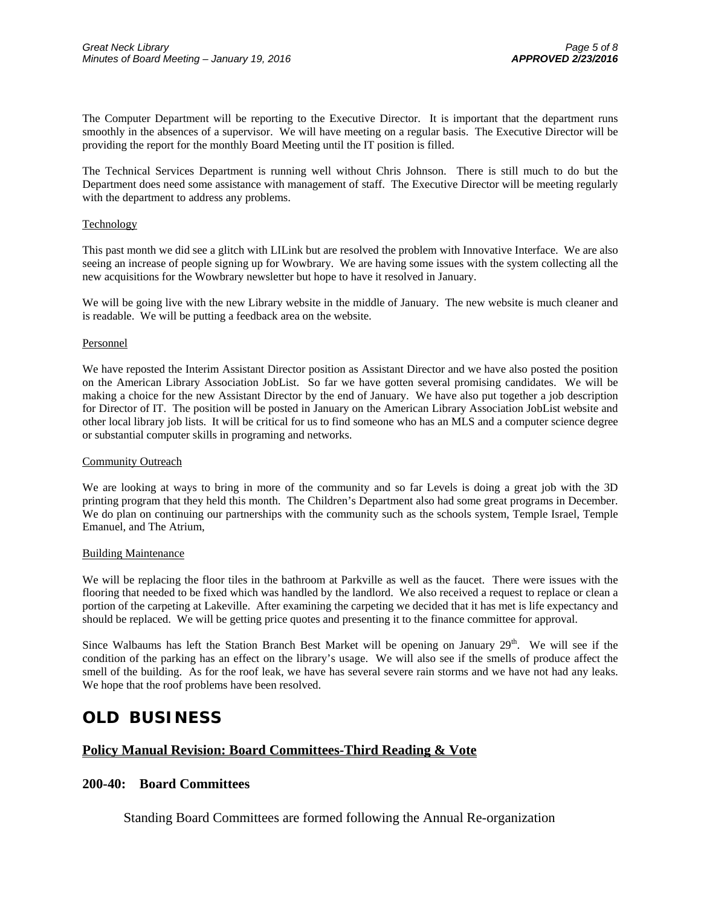The Computer Department will be reporting to the Executive Director. It is important that the department runs smoothly in the absences of a supervisor. We will have meeting on a regular basis. The Executive Director will be providing the report for the monthly Board Meeting until the IT position is filled.

The Technical Services Department is running well without Chris Johnson. There is still much to do but the Department does need some assistance with management of staff. The Executive Director will be meeting regularly with the department to address any problems.

#### Technology

This past month we did see a glitch with LILink but are resolved the problem with Innovative Interface. We are also seeing an increase of people signing up for Wowbrary. We are having some issues with the system collecting all the new acquisitions for the Wowbrary newsletter but hope to have it resolved in January.

We will be going live with the new Library website in the middle of January. The new website is much cleaner and is readable. We will be putting a feedback area on the website.

#### Personnel

We have reposted the Interim Assistant Director position as Assistant Director and we have also posted the position on the American Library Association JobList. So far we have gotten several promising candidates. We will be making a choice for the new Assistant Director by the end of January. We have also put together a job description for Director of IT. The position will be posted in January on the American Library Association JobList website and other local library job lists. It will be critical for us to find someone who has an MLS and a computer science degree or substantial computer skills in programing and networks.

#### Community Outreach

We are looking at ways to bring in more of the community and so far Levels is doing a great job with the 3D printing program that they held this month. The Children's Department also had some great programs in December. We do plan on continuing our partnerships with the community such as the schools system, Temple Israel, Temple Emanuel, and The Atrium,

#### Building Maintenance

We will be replacing the floor tiles in the bathroom at Parkville as well as the faucet. There were issues with the flooring that needed to be fixed which was handled by the landlord. We also received a request to replace or clean a portion of the carpeting at Lakeville. After examining the carpeting we decided that it has met is life expectancy and should be replaced. We will be getting price quotes and presenting it to the finance committee for approval.

Since Walbaums has left the Station Branch Best Market will be opening on January  $29<sup>th</sup>$ . We will see if the condition of the parking has an effect on the library's usage. We will also see if the smells of produce affect the smell of the building. As for the roof leak, we have has several severe rain storms and we have not had any leaks. We hope that the roof problems have been resolved.

## **OLD BUSINESS**

## **Policy Manual Revision: Board Committees-Third Reading & Vote**

### **200-40: Board Committees**

Standing Board Committees are formed following the Annual Re-organization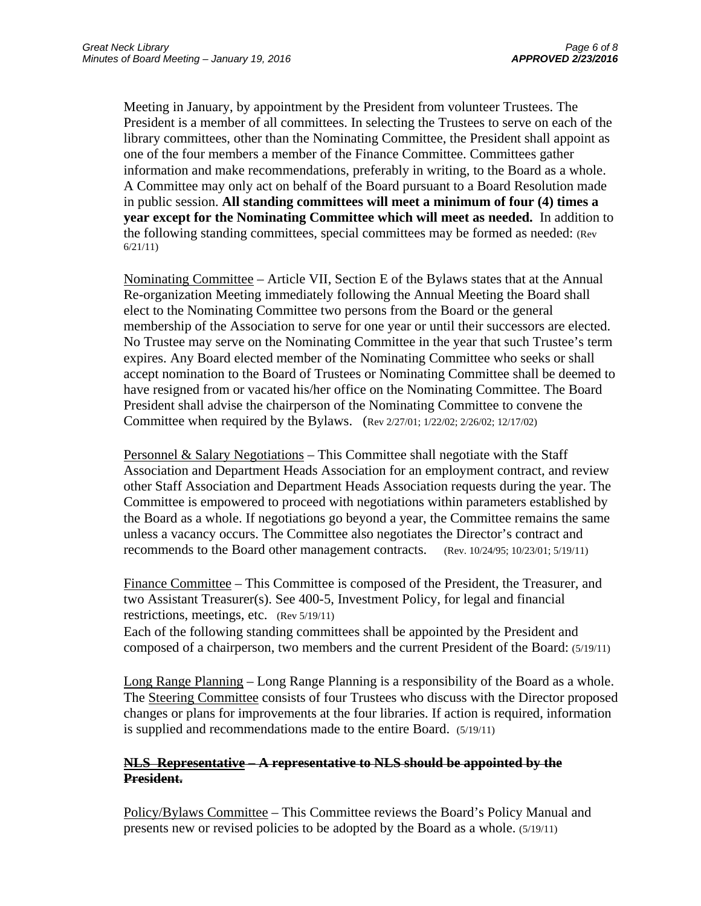Meeting in January, by appointment by the President from volunteer Trustees. The President is a member of all committees. In selecting the Trustees to serve on each of the library committees, other than the Nominating Committee, the President shall appoint as one of the four members a member of the Finance Committee. Committees gather information and make recommendations, preferably in writing, to the Board as a whole. A Committee may only act on behalf of the Board pursuant to a Board Resolution made in public session. **All standing committees will meet a minimum of four (4) times a year except for the Nominating Committee which will meet as needed.** In addition to the following standing committees, special committees may be formed as needed: (Rev 6/21/11)

Nominating Committee – Article VII, Section E of the Bylaws states that at the Annual Re-organization Meeting immediately following the Annual Meeting the Board shall elect to the Nominating Committee two persons from the Board or the general membership of the Association to serve for one year or until their successors are elected. No Trustee may serve on the Nominating Committee in the year that such Trustee's term expires. Any Board elected member of the Nominating Committee who seeks or shall accept nomination to the Board of Trustees or Nominating Committee shall be deemed to have resigned from or vacated his/her office on the Nominating Committee. The Board President shall advise the chairperson of the Nominating Committee to convene the Committee when required by the Bylaws. (Rev 2/27/01; 1/22/02; 2/26/02; 12/17/02)

Personnel & Salary Negotiations – This Committee shall negotiate with the Staff Association and Department Heads Association for an employment contract, and review other Staff Association and Department Heads Association requests during the year. The Committee is empowered to proceed with negotiations within parameters established by the Board as a whole. If negotiations go beyond a year, the Committee remains the same unless a vacancy occurs. The Committee also negotiates the Director's contract and recommends to the Board other management contracts. (Rev. 10/24/95; 10/23/01; 5/19/11)

Finance Committee – This Committee is composed of the President, the Treasurer, and two Assistant Treasurer(s). See 400-5, Investment Policy, for legal and financial restrictions, meetings, etc. (Rev 5/19/11)

Each of the following standing committees shall be appointed by the President and composed of a chairperson, two members and the current President of the Board: (5/19/11)

Long Range Planning – Long Range Planning is a responsibility of the Board as a whole. The Steering Committee consists of four Trustees who discuss with the Director proposed changes or plans for improvements at the four libraries. If action is required, information is supplied and recommendations made to the entire Board. (5/19/11)

## **NLS Representative – A representative to NLS should be appointed by the President.**

Policy/Bylaws Committee – This Committee reviews the Board's Policy Manual and presents new or revised policies to be adopted by the Board as a whole. (5/19/11)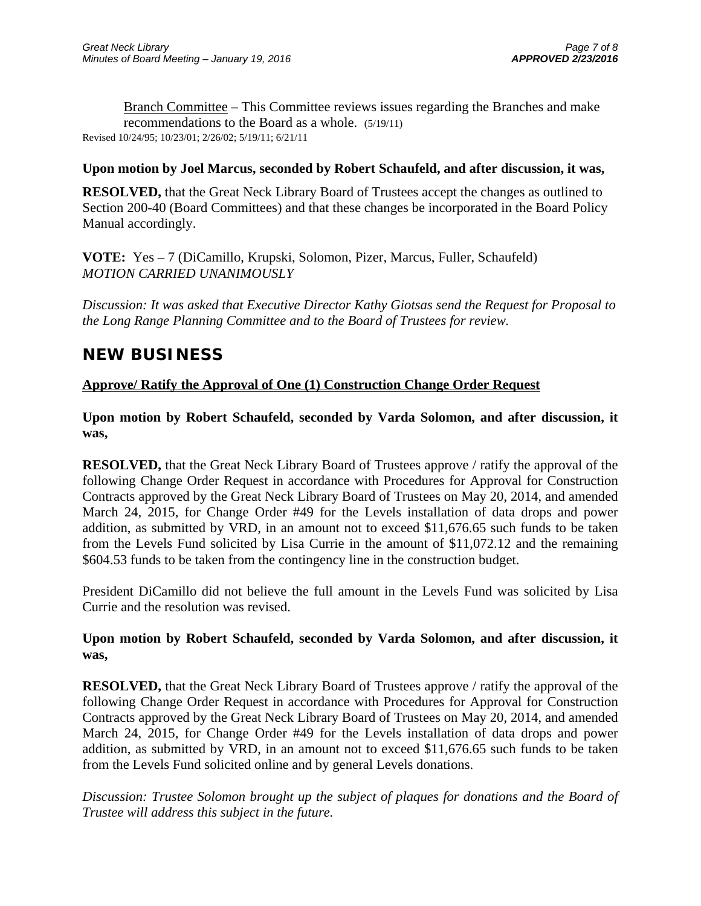Branch Committee – This Committee reviews issues regarding the Branches and make recommendations to the Board as a whole. (5/19/11) Revised 10/24/95; 10/23/01; 2/26/02; 5/19/11; 6/21/11

## **Upon motion by Joel Marcus, seconded by Robert Schaufeld, and after discussion, it was,**

**RESOLVED,** that the Great Neck Library Board of Trustees accept the changes as outlined to Section 200-40 (Board Committees) and that these changes be incorporated in the Board Policy Manual accordingly.

**VOTE:** Yes – 7 (DiCamillo, Krupski, Solomon, Pizer, Marcus, Fuller, Schaufeld) *MOTION CARRIED UNANIMOUSLY* 

*Discussion: It was asked that Executive Director Kathy Giotsas send the Request for Proposal to the Long Range Planning Committee and to the Board of Trustees for review.* 

# **NEW BUSINESS**

## **Approve/ Ratify the Approval of One (1) Construction Change Order Request**

**Upon motion by Robert Schaufeld, seconded by Varda Solomon, and after discussion, it was,** 

**RESOLVED,** that the Great Neck Library Board of Trustees approve / ratify the approval of the following Change Order Request in accordance with Procedures for Approval for Construction Contracts approved by the Great Neck Library Board of Trustees on May 20, 2014, and amended March 24, 2015, for Change Order #49 for the Levels installation of data drops and power addition, as submitted by VRD, in an amount not to exceed \$11,676.65 such funds to be taken from the Levels Fund solicited by Lisa Currie in the amount of \$11,072.12 and the remaining \$604.53 funds to be taken from the contingency line in the construction budget.

President DiCamillo did not believe the full amount in the Levels Fund was solicited by Lisa Currie and the resolution was revised.

## **Upon motion by Robert Schaufeld, seconded by Varda Solomon, and after discussion, it was,**

**RESOLVED,** that the Great Neck Library Board of Trustees approve / ratify the approval of the following Change Order Request in accordance with Procedures for Approval for Construction Contracts approved by the Great Neck Library Board of Trustees on May 20, 2014, and amended March 24, 2015, for Change Order #49 for the Levels installation of data drops and power addition, as submitted by VRD, in an amount not to exceed \$11,676.65 such funds to be taken from the Levels Fund solicited online and by general Levels donations.

*Discussion: Trustee Solomon brought up the subject of plaques for donations and the Board of Trustee will address this subject in the future.*